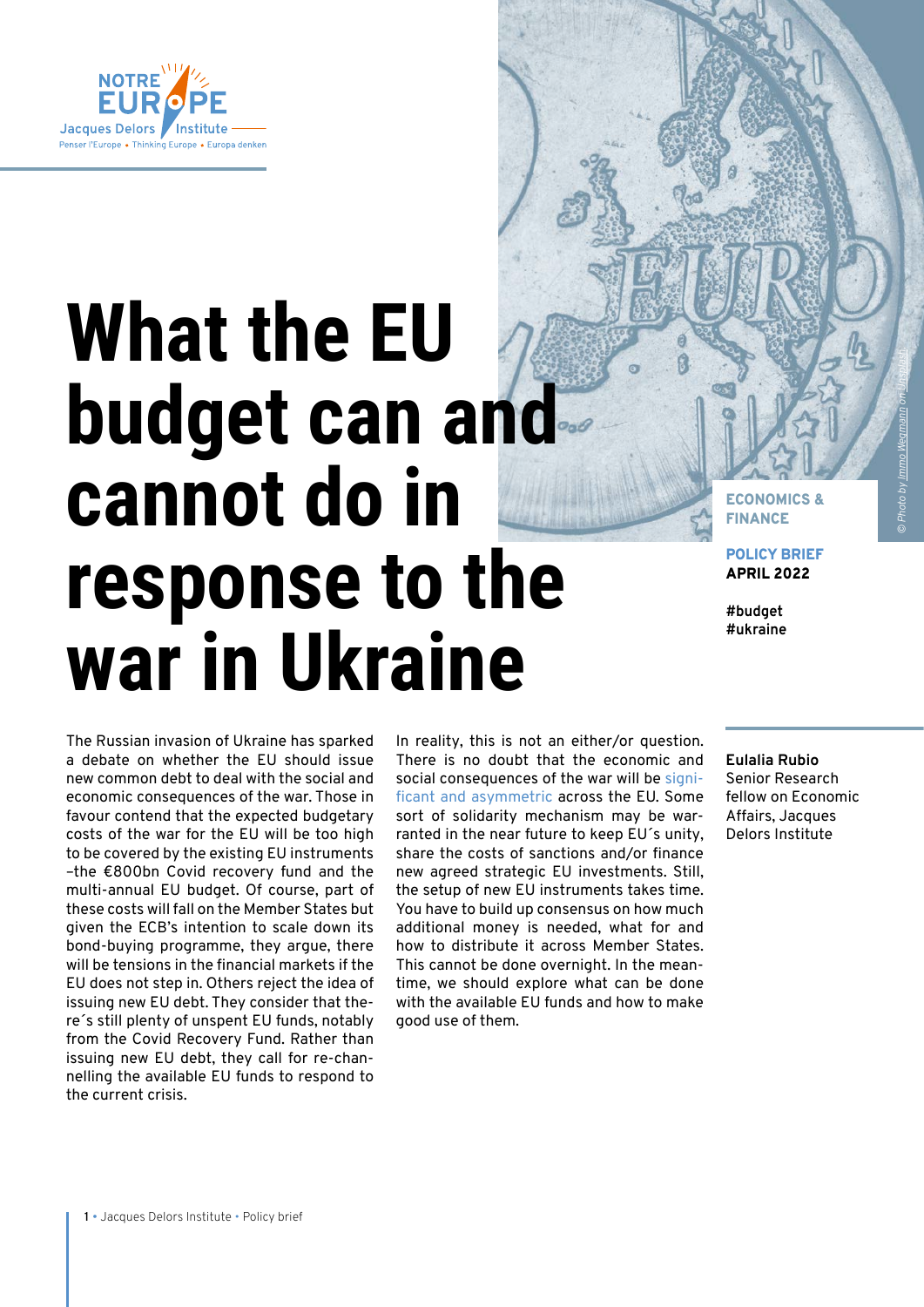

# **What the EU budget can and cannot do in response to the war in Ukraine**

ECONOMICS & FINANCE

POLICY BRIEF APRIL 2022

**#budget #ukraine**

The Russian invasion of Ukraine has sparked a debate on whether the EU should issue new common debt to deal with the social and economic consequences of the war. Those in favour contend that the expected budgetary costs of the war for the EU will be too high to be covered by the existing EU instruments –the €800bn Covid recovery fund and the multi-annual EU budget. Of course, part of these costs will fall on the Member States but given the ECB's intention to scale down its bond-buying programme, they argue, there will be tensions in the financial markets if the EU does not step in. Others reject the idea of issuing new EU debt. They consider that there´s still plenty of unspent EU funds, notably from the Covid Recovery Fund. Rather than issuing new EU debt, they call for re-channelling the available EU funds to respond to the current crisis.

In reality, this is not an either/or question. There is no doubt that the economic and social consequences of the war will be [signi](https://www.delorscentre.eu/en/publications/detail/publication/eu-member-states-exposure-to-putins-war)[ficant and asymmetric](https://www.delorscentre.eu/en/publications/detail/publication/eu-member-states-exposure-to-putins-war) across the EU. Some sort of solidarity mechanism may be warranted in the near future to keep EU´s unity, share the costs of sanctions and/or finance new agreed strategic EU investments. Still, the setup of new EU instruments takes time. You have to build up consensus on how much additional money is needed, what for and how to distribute it across Member States. This cannot be done overnight. In the meantime, we should explore what can be done with the available EU funds and how to make good use of them.

**Eulalia Rubio**  Senior Research fellow on Economic Affairs, Jacques Delors Institute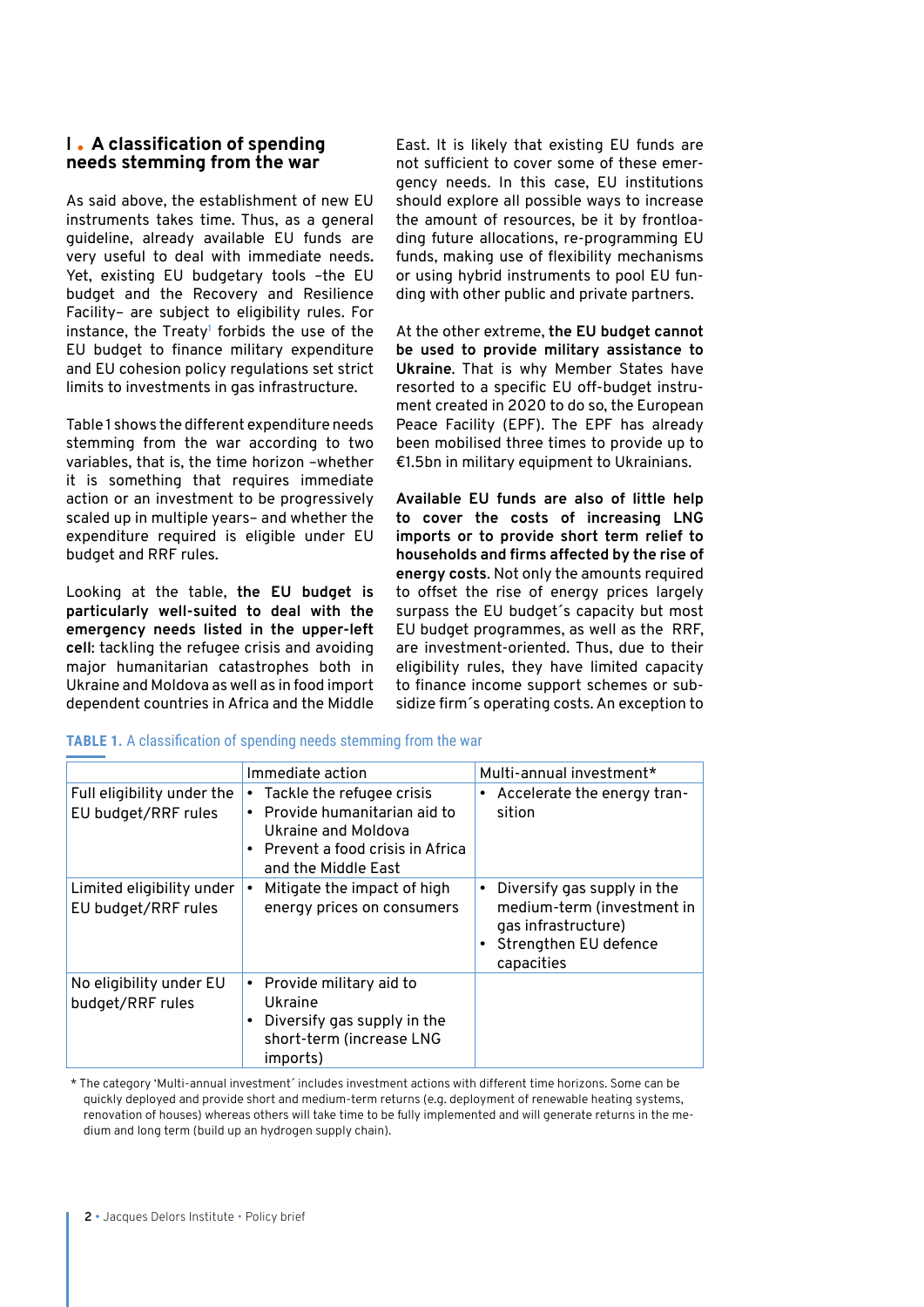# **I A classification of spending needs stemming from the war**

As said above, the establishment of new EU instruments takes time. Thus, as a general guideline, already available EU funds are very useful to deal with immediate needs**.** Yet, existing EU budgetary tools –the EU budget and the Recovery and Resilience Facility– are subject to eligibility rules. For instance, the Treaty**<sup>1</sup>** forbids the use of the EU budget to finance military expenditure and EU cohesion policy regulations set strict limits to investments in gas infrastructure.

Table 1 shows the different expenditure needs stemming from the war according to two variables, that is, the time horizon –whether it is something that requires immediate action or an investment to be progressively scaled up in multiple years– and whether the expenditure required is eligible under EU budget and RRF rules.

Looking at the table, **the EU budget is particularly well-suited to deal with the emergency needs listed in the upper-left cell**: tackling the refugee crisis and avoiding major humanitarian catastrophes both in Ukraine and Moldova as well as in food import dependent countries in Africa and the Middle

East. It is likely that existing EU funds are not sufficient to cover some of these emergency needs. In this case, EU institutions should explore all possible ways to increase the amount of resources, be it by frontloading future allocations, re-programming EU funds, making use of flexibility mechanisms or using hybrid instruments to pool EU funding with other public and private partners.

At the other extreme, **the EU budget cannot be used to provide military assistance to Ukraine**. That is why Member States have resorted to a specific EU off-budget instrument created in 2020 to do so, the European Peace Facility (EPF). The EPF has already been mobilised three times to provide up to €1.5bn in military equipment to Ukrainians.

**Available EU funds are also of little help to cover the costs of increasing LNG imports or to provide short term relief to households and firms affected by the rise of energy costs**. Not only the amounts required to offset the rise of energy prices largely surpass the EU budget´s capacity but most EU budget programmes, as well as the RRF, are investment-oriented. Thus, due to their eligibility rules, they have limited capacity to finance income support schemes or subsidize firm´s operating costs. An exception to

|                                                   | Immediate action                                                                                                                                                    | Multi-annual investment*                                                                                                |
|---------------------------------------------------|---------------------------------------------------------------------------------------------------------------------------------------------------------------------|-------------------------------------------------------------------------------------------------------------------------|
| Full eligibility under the<br>EU budget/RRF rules | Tackle the refugee crisis<br>Provide humanitarian aid to<br>$\bullet$<br>Ukraine and Moldova<br>Prevent a food crisis in Africa<br>$\bullet$<br>and the Middle East | Accelerate the energy tran-<br>sition                                                                                   |
| Limited eligibility under<br>EU budget/RRF rules  | Mitigate the impact of high<br>energy prices on consumers                                                                                                           | Diversify gas supply in the<br>medium-term (investment in<br>gas infrastructure)<br>Strengthen EU defence<br>capacities |
| No eligibility under EU<br>budget/RRF rules       | Provide military aid to<br>٠<br>Ukraine<br>Diversify gas supply in the<br>$\bullet$<br>short-term (increase LNG<br>imports)                                         |                                                                                                                         |

#### **TABLE 1.** A classification of spending needs stemming from the war

\* The category 'Multi-annual investment´ includes investment actions with different time horizons. Some can be quickly deployed and provide short and medium-term returns (e.g. deployment of renewable heating systems, renovation of houses) whereas others will take time to be fully implemented and will generate returns in the medium and long term (build up an hydrogen supply chain).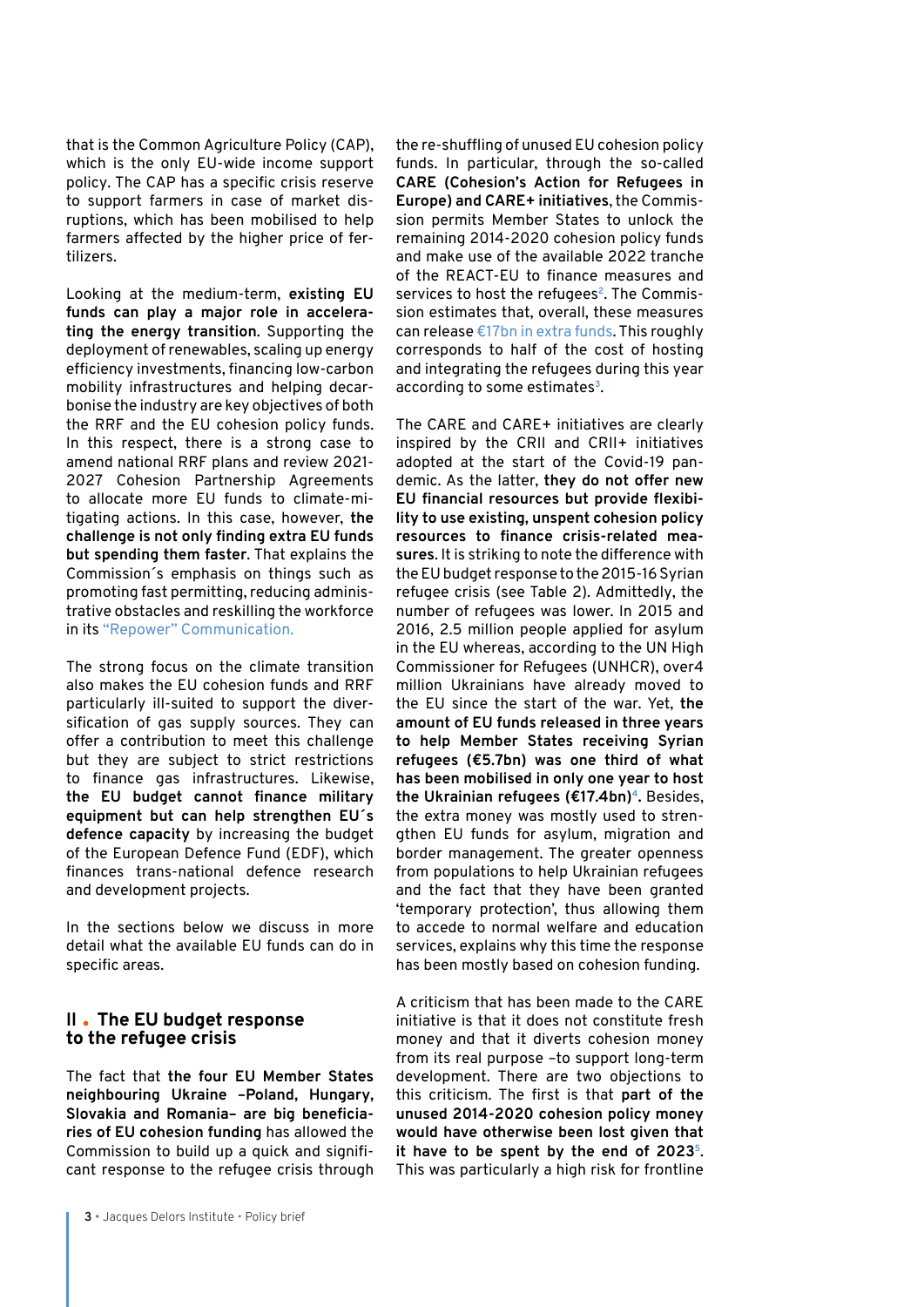that is the Common Agriculture Policy (CAP), which is the only EU-wide income support policy. The CAP has a specific crisis reserve to support farmers in case of market disruptions, which has been mobilised to help farmers affected by the higher price of fertilizers.

Looking at the medium-term, **existing EU funds can play a major role in accelerating the energy transition**. Supporting the deployment of renewables, scaling up energy efficiency investments, financing low-carbon mobility infrastructures and helping decarbonise the industry are key objectives of both the RRF and the EU cohesion policy funds. In this respect, there is a strong case to amend national RRF plans and review 2021- 2027 Cohesion Partnership Agreements to allocate more EU funds to climate-mitigating actions. In this case, however, **the challenge is not only finding extra EU funds but spending them faster**. That explains the Commission´s emphasis on things such as promoting fast permitting, reducing administrative obstacles and reskilling the workforce in its ["Repower" Communication.](https://eur-lex.europa.eu/legal-content/EN/TXT/?uri=COM%3A2022%3A108%3AFIN)

The strong focus on the climate transition also makes the EU cohesion funds and RRF particularly ill-suited to support the diversification of gas supply sources. They can offer a contribution to meet this challenge but they are subject to strict restrictions to finance gas infrastructures. Likewise, **the EU budget cannot finance military equipment but can help strengthen EU´s defence capacity** by increasing the budget of the European Defence Fund (EDF), which finances trans-national defence research and development projects.

In the sections below we discuss in more detail what the available EU funds can do in specific areas.

# **II The EU budget response to the refugee crisis**

The fact that **the four EU Member States neighbouring Ukraine –Poland, Hungary, Slovakia and Romania– are big beneficiaries of EU cohesion funding** has allowed the Commission to build up a quick and significant response to the refugee crisis through the re-shuffling of unused EU cohesion policy funds. In particular, through the so-called **CARE (Cohesion's Action for Refugees in Europe) and CARE+ initiatives**, the Commission permits Member States to unlock the remaining 2014-2020 cohesion policy funds and make use of the available 2022 tranche of the REACT-EU to finance measures and services to host the refugees**2**. The Commission estimates that, overall, these measures can release [€17bn in extra funds.](https://www.consilium.europa.eu/en/press/press-releases/2022/04/04/ukraine-council-unlocks-17-billion-of-eu-funds-to-help-refugees/) This roughly corresponds to half of the cost of hosting and integrating the refugees during this year according to some estimates**<sup>3</sup>**.

The CARE and CARE+ initiatives are clearly inspired by the CRII and CRII+ initiatives adopted at the start of the Covid-19 pandemic. As the latter, **they do not offer new EU financial resources but provide flexibility to use existing, unspent cohesion policy resources to finance crisis-related measures**. It is striking to note the difference with the EU budget response to the 2015-16 Syrian refugee crisis (see Table 2). Admittedly, the number of refugees was lower. In 2015 and 2016, 2.5 million people applied for asylum in the EU whereas, according to the UN High Commissioner for Refugees (UNHCR), over4 million Ukrainians have already moved to the EU since the start of the war. Yet, **the amount of EU funds released in three years to help Member States receiving Syrian refugees (€5.7bn) was one third of what has been mobilised in only one year to host the Ukrainian refugees (€17.4bn)4.** Besides, the extra money was mostly used to strengthen EU funds for asylum, migration and border management. The greater openness from populations to help Ukrainian refugees and the fact that they have been granted 'temporary protection', thus allowing them to accede to normal welfare and education services, explains why this time the response has been mostly based on cohesion funding.

A criticism that has been made to the CARE initiative is that it does not constitute fresh money and that it diverts cohesion money from its real purpose –to support long-term development. There are two objections to this criticism. The first is that **part of the unused 2014-2020 cohesion policy money would have otherwise been lost given that it have to be spent by the end of 20235**. This was particularly a high risk for frontline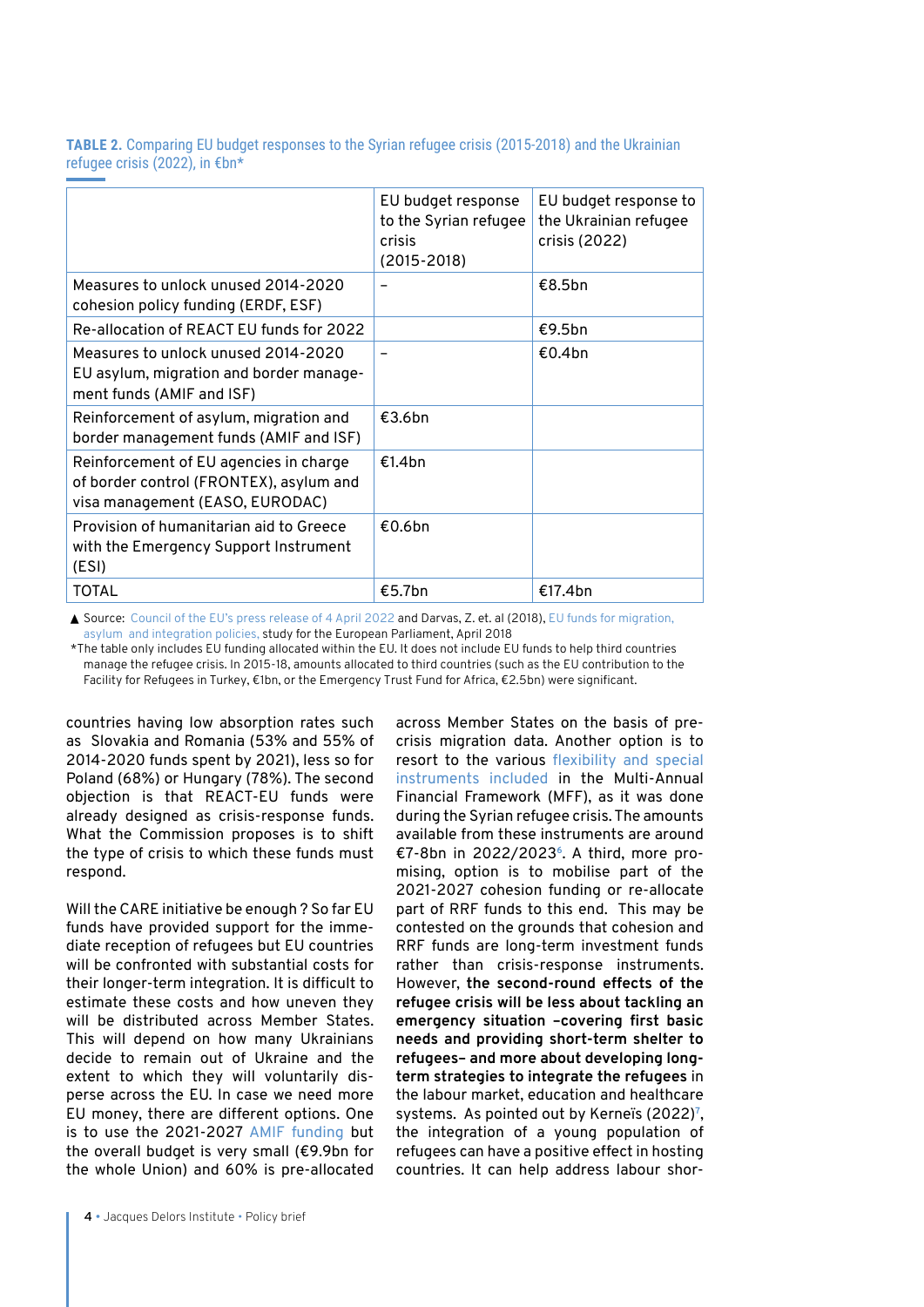**TABLE 2.** Comparing EU budget responses to the Syrian refugee crisis (2015-2018) and the Ukrainian refugee crisis (2022), in €bn\*

|                                                                                                                      | EU budget response<br>to the Syrian refugee<br>crisis<br>$(2015 - 2018)$ | EU budget response to<br>the Ukrainian refugee<br>crisis (2022) |
|----------------------------------------------------------------------------------------------------------------------|--------------------------------------------------------------------------|-----------------------------------------------------------------|
| Measures to unlock unused 2014-2020<br>cohesion policy funding (ERDF, ESF)                                           |                                                                          | €8.5bn                                                          |
| Re-allocation of REACT EU funds for 2022                                                                             |                                                                          | €9.5bn                                                          |
| Measures to unlock unused 2014-2020<br>EU asylum, migration and border manage-<br>ment funds (AMIF and ISF)          |                                                                          | €0.4bn                                                          |
| Reinforcement of asylum, migration and<br>border management funds (AMIF and ISF)                                     | €3.6bn                                                                   |                                                                 |
| Reinforcement of EU agencies in charge<br>of border control (FRONTEX), asylum and<br>visa management (EASO, EURODAC) | €1.4bn                                                                   |                                                                 |
| Provision of humanitarian aid to Greece<br>with the Emergency Support Instrument<br>(ESI)                            | €0.6bn                                                                   |                                                                 |
| <b>TOTAL</b>                                                                                                         | €5.7bn                                                                   | €17.4bn                                                         |

▲ Source: [Council of the EU's press release of 4 April 2022](https://www.consilium.europa.eu/en/press/press-releases/2022/04/04/ukraine-council-unlocks-17-billion-of-eu-funds-to-help-refugees/) and Darvas, Z. et. al (2018), EU funds for migration, [asylum and integration policies,](https://www.bruegel.org/2018/05/eu-funds-for-migration-asylum-and-integration-policies/) study for the European Parliament, April 2018

\*The table only includes EU funding allocated within the EU. It does not include EU funds to help third countries manage the refugee crisis. In 2015-18, amounts allocated to third countries (such as the EU contribution to the Facility for Refugees in Turkey, €1bn, or the Emergency Trust Fund for Africa, €2.5bn) were significant.

countries having low absorption rates such as Slovakia and Romania (53% and 55% of 2014-2020 funds spent by 2021), less so for Poland (68%) or Hungary (78%). The second objection is that REACT-EU funds were already designed as crisis-response funds. What the Commission proposes is to shift the type of crisis to which these funds must respond.

Will the CARE initiative be enough ? So far EU funds have provided support for the immediate reception of refugees but EU countries will be confronted with substantial costs for their longer-term integration. It is difficult to estimate these costs and how uneven they will be distributed across Member States. This will depend on how many Ukrainians decide to remain out of Ukraine and the extent to which they will voluntarily disperse across the EU. In case we need more EU money, there are different options. One is to use the 2021-2027 [AMIF funding](https://ec.europa.eu/home-affairs/funding/asylum-migration-and-integration-funds/asylum-migration-and-integration-fund-2021-2027_en) but the overall budget is very small (€9.9bn for the whole Union) and 60% is pre-allocated across Member States on the basis of precrisis migration data. Another option is to resort to the various flexibility and special instruments included in the Multi-Annual Financial Framework (MFF), as it was done during the Syrian refugee crisis. The amounts available from these instruments are around €7-8bn in 2022/2023**6**. A third, more promising, option is to mobilise part of the 2021-2027 cohesion funding or re-allocate part of RRF funds to this end. This may be contested on the grounds that cohesion and RRF funds are long-term investment funds rather than crisis-response instruments. However, **the second-round effects of the refugee crisis will be less about tackling an emergency situation –covering first basic needs and providing short-term shelter to refugees– and more about developing longterm strategies to integrate the refugees** in the labour market, education and healthcare systems. As pointed out by Kerneïs (2022)**<sup>7</sup>** , the integration of a young population of refugees can have a positive effect in hosting countries. It can help address labour shor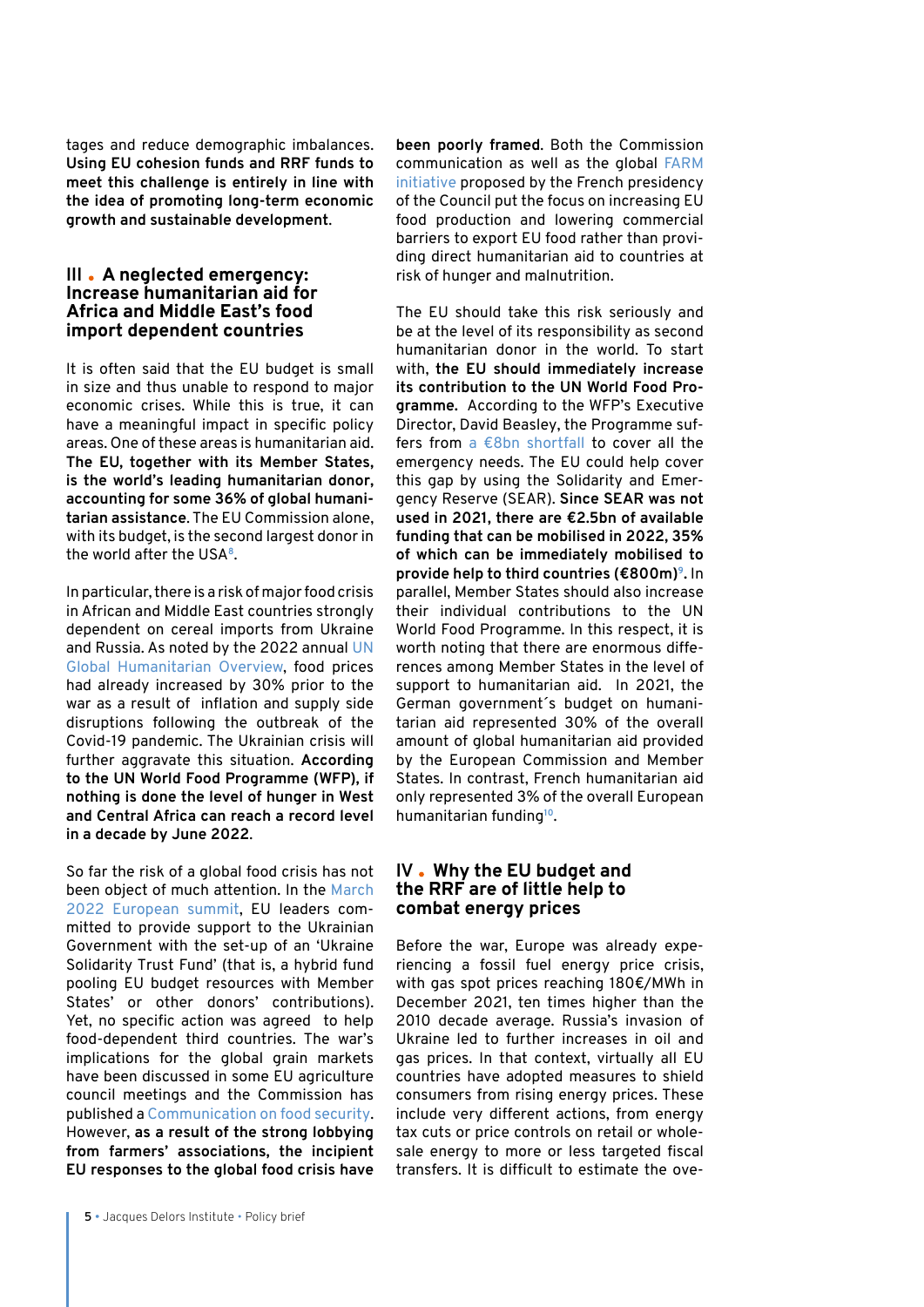tages and reduce demographic imbalances. **Using EU cohesion funds and RRF funds to meet this challenge is entirely in line with the idea of promoting long-term economic growth and sustainable development**.

### **III A neglected emergency: Increase humanitarian aid for Africa and Middle East's food import dependent countries**

It is often said that the EU budget is small in size and thus unable to respond to major economic crises. While this is true, it can have a meaningful impact in specific policy areas. One of these areas is humanitarian aid. **The EU, together with its Member States, is the world's leading humanitarian donor, accounting for some 36% of global humanitarian assistance**. The EU Commission alone, with its budget, is the second largest donor in the world after the USA**<sup>8</sup>**.

In particular, there is a risk of major food crisis in African and Middle East countries strongly dependent on cereal imports from Ukraine and Russia. As noted by the 2022 annual [UN](https://gho.unocha.org/trends/hunger-rise-unprecedented-levels-food-insecurity-require-urgent-action-prevent-famine)  [Global Humanitarian Overview](https://gho.unocha.org/trends/hunger-rise-unprecedented-levels-food-insecurity-require-urgent-action-prevent-famine), food prices had already increased by 30% prior to the war as a result of inflation and supply side disruptions following the outbreak of the Covid-19 pandemic. The Ukrainian crisis will further aggravate this situation. **According to the UN World Food Programme (WFP), if nothing is done the level of hunger in West and Central Africa can reach a [record level](https://www.wfp.org/news/hunger-west-africa-reaches-record-high-decade-region-faces-unprecedented-crisis-exacerbated)  in a decade by June 2022**.

So far the risk of a global food crisis has not been object of much attention. In the [March](https://www.consilium.europa.eu/en/press/press-releases/2022/03/25/european-council-conclusions-24-25-march-2022/)  [2022 European summit](https://www.consilium.europa.eu/en/press/press-releases/2022/03/25/european-council-conclusions-24-25-march-2022/), EU leaders committed to provide support to the Ukrainian Government with the set-up of an 'Ukraine Solidarity Trust Fund' (that is, a hybrid fund pooling EU budget resources with Member States' or other donors' contributions). Yet, no specific action was agreed to help food-dependent third countries. The war's implications for the global grain markets have been discussed in some EU agriculture council meetings and the Commission has published a [Communication on food security.](https://eur-lex.europa.eu/legal-content/EN/TXT/?uri=CELEX:52022DC0133) However, **as a result of the strong lobbying from farmers' associations, the incipient EU responses to the global food crisis have** 

**been poorly framed**. Both the Commission communication as well as the global [FARM](https://www.euractiv.com/section/agriculture-food/news/food-security-is-back-on-eu-leaders-menu-with-a-global-flavour/)  [initiative](https://www.euractiv.com/section/agriculture-food/news/food-security-is-back-on-eu-leaders-menu-with-a-global-flavour/) proposed by the French presidency of the Council put the focus on increasing EU food production and lowering commercial barriers to export EU food rather than providing direct humanitarian aid to countries at risk of hunger and malnutrition.

The EU should take this risk seriously and be at the level of its responsibility as second humanitarian donor in the world. To start with, **the EU should immediately increase its contribution to the UN World Food Programme.** According to the WFP's Executive Director, David Beasley, the Programme suffers from [a €8bn shortfall](https://www.politico.eu/article/world-food-programme-eu-fund-us-food-aid-ukraine-russia/) to cover all the emergency needs. The EU could help cover this gap by using the Solidarity and Emergency Reserve (SEAR). **Since SEAR was not used in 2021, there are €2.5bn of available funding that can be mobilised in 2022, 35% of which can be immediately mobilised to provide help to third countries (€800m)9.** In parallel, Member States should also increase their individual contributions to the UN World Food Programme. In this respect, it is worth noting that there are enormous differences among Member States in the level of support to humanitarian aid. In 2021, the German government´s budget on humanitarian aid represented 30% of the overall amount of global humanitarian aid provided by the European Commission and Member States. In contrast, French humanitarian aid only represented 3% of the overall European humanitarian funding**<sup>10</sup>**.

# **IV Why the EU budget and the RRF are of little help to combat energy prices**

Before the war, Europe was already experiencing a fossil fuel energy price crisis, with gas spot prices reaching 180€/MWh in December 2021, ten times higher than the 2010 decade average. Russia's invasion of Ukraine led to further increases in oil and gas prices. In that context, virtually all EU countries have adopted measures to shield consumers from rising energy prices. These include very different actions, from energy tax cuts or price controls on retail or wholesale energy to more or less targeted fiscal transfers. It is difficult to estimate the ove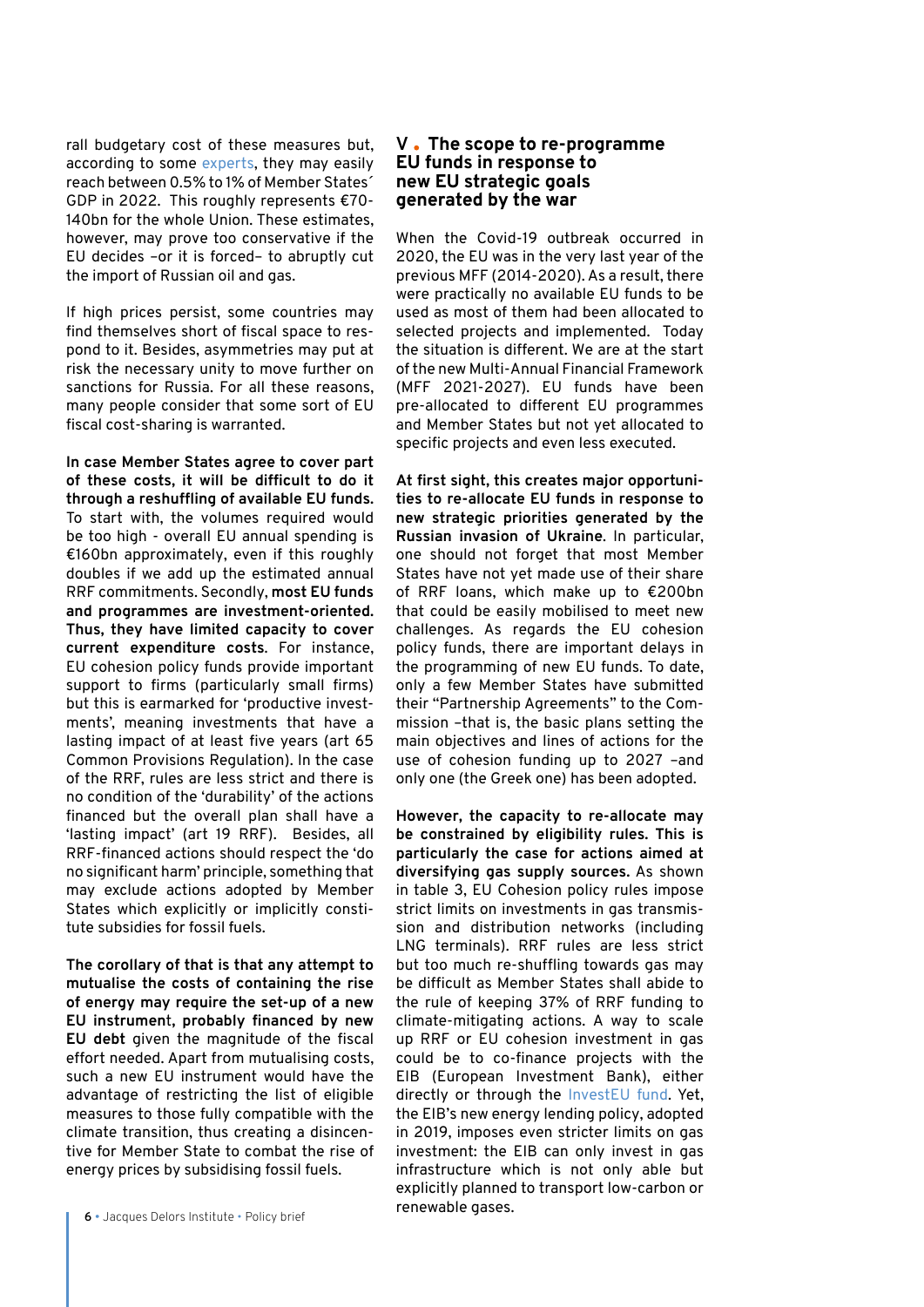rall budgetary cost of these measures but, according to some [experts,](https://www.bruegel.org/2022/03/the-economic-policy-consequences-of-the-war/) they may easily reach between 0.5% to 1% of Member States´ GDP in 2022. This roughly represents €70- 140bn for the whole Union. These estimates, however, may prove too conservative if the EU decides –or it is forced– to abruptly cut the import of Russian oil and gas.

If high prices persist, some countries may find themselves short of fiscal space to respond to it. Besides, asymmetries may put at risk the necessary unity to move further on sanctions for Russia. For all these reasons, many people consider that some sort of EU fiscal cost-sharing is warranted.

**In case Member States agree to cover part of these costs, it will be difficult to do it through a reshuffling of available EU funds.**  To start with, the volumes required would be too high - overall EU annual spending is €160bn approximately, even if this roughly doubles if we add up the estimated annual RRF commitments. Secondly, **most EU funds and programmes are investment-oriented. Thus, they have limited capacity to cover current expenditure costs**. For instance, EU cohesion policy funds provide important support to firms (particularly small firms) but this is earmarked for 'productive investments', meaning investments that have a lasting impact of at least five years (art 65 Common Provisions Regulation). In the case of the RRF, rules are less strict and there is no condition of the 'durability' of the actions financed but the overall plan shall have a 'lasting impact' (art 19 RRF). Besides, all RRF-financed actions should respect the 'do no significant harm' principle, something that may exclude actions adopted by Member States which explicitly or implicitly constitute subsidies for fossil fuels.

**The corollary of that is that any attempt to mutualise the costs of containing the rise of energy may require the set-up of a new EU instrumen**t**, probably financed by new EU debt** given the magnitude of the fiscal effort needed. Apart from mutualising costs, such a new EU instrument would have the advantage of restricting the list of eligible measures to those fully compatible with the climate transition, thus creating a disincentive for Member State to combat the rise of energy prices by subsidising fossil fuels.

### **V The scope to re-programme EU funds in response to new EU strategic goals generated by the war**

When the Covid-19 outbreak occurred in 2020, the EU was in the very last year of the previous MFF (2014-2020). As a result, there were practically no available EU funds to be used as most of them had been allocated to selected projects and implemented. Today the situation is different. We are at the start of the new Multi-Annual Financial Framework (MFF 2021-2027). EU funds have been pre-allocated to different EU programmes and Member States but not yet allocated to specific projects and even less executed.

**At first sight, this creates major opportunities to re-allocate EU funds in response to new strategic priorities generated by the Russian invasion of Ukraine**. In particular, one should not forget that most Member States have not yet made use of their share of RRF loans, which make up to €200bn that could be easily mobilised to meet new challenges. As regards the EU cohesion policy funds, there are important delays in the programming of new EU funds. To date, only a few Member States have submitted their "Partnership Agreements" to the Commission –that is, the basic plans setting the main objectives and lines of actions for the use of cohesion funding up to 2027 –and only one (the Greek one) has been adopted.

**However, the capacity to re-allocate may be constrained by eligibility rules. This is particularly the case for actions aimed at diversifying gas supply sources.** As shown in table 3, EU Cohesion policy rules impose strict limits on investments in gas transmission and distribution networks (including LNG terminals). RRF rules are less strict but too much re-shuffling towards gas may be difficult as Member States shall abide to the rule of keeping 37% of RRF funding to climate-mitigating actions. A way to scale up RRF or EU cohesion investment in gas could be to co-finance projects with the EIB (European Investment Bank), either directly or through the [InvestEU fund.](https://investeu.europa.eu/what-investeu-programme/investeu-fund_en) Yet, the EIB's new energy lending policy, adopted in 2019, imposes even stricter limits on gas investment: the EIB can only invest in gas infrastructure which is not only able but explicitly planned to transport low-carbon or renewable gases.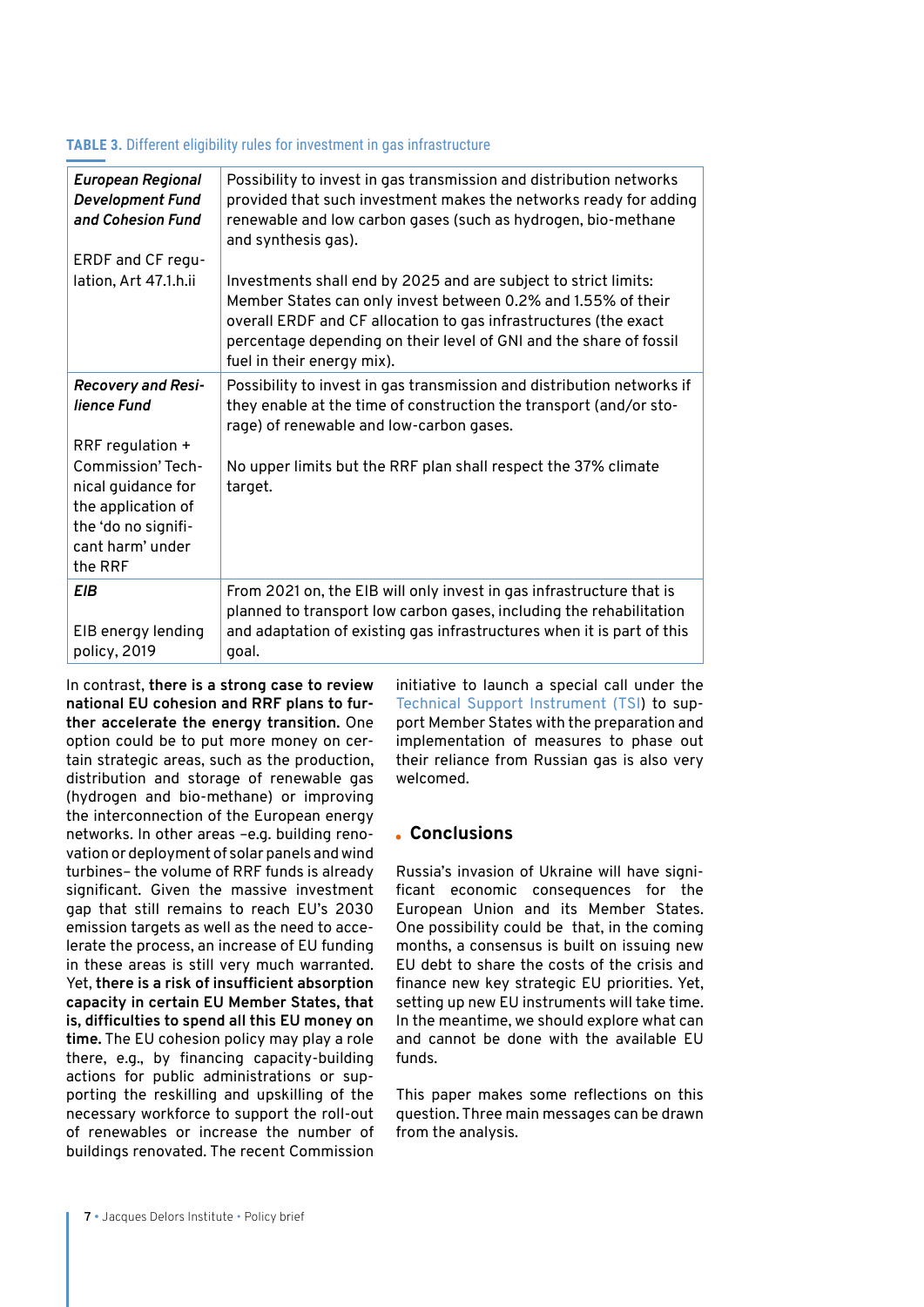#### **TABLE 3.** Different eligibility rules for investment in gas infrastructure

| <b>European Regional</b><br>Development Fund<br>and Cohesion Fund<br>ERDF and CF regu-                                                         | Possibility to invest in gas transmission and distribution networks<br>provided that such investment makes the networks ready for adding<br>renewable and low carbon gases (such as hydrogen, bio-methane<br>and synthesis gas).                                                                         |
|------------------------------------------------------------------------------------------------------------------------------------------------|----------------------------------------------------------------------------------------------------------------------------------------------------------------------------------------------------------------------------------------------------------------------------------------------------------|
| lation, Art 47.1.h.ii                                                                                                                          | Investments shall end by 2025 and are subject to strict limits:<br>Member States can only invest between 0.2% and 1.55% of their<br>overall ERDF and CF allocation to gas infrastructures (the exact<br>percentage depending on their level of GNI and the share of fossil<br>fuel in their energy mix). |
| Recovery and Resi-<br>lience Fund                                                                                                              | Possibility to invest in gas transmission and distribution networks if<br>they enable at the time of construction the transport (and/or sto-<br>rage) of renewable and low-carbon gases.                                                                                                                 |
| RRF regulation +<br><b>Commission' Tech-</b><br>nical guidance for<br>the application of<br>the 'do no signifi-<br>cant harm' under<br>the RRF | No upper limits but the RRF plan shall respect the 37% climate<br>target.                                                                                                                                                                                                                                |
| <b>EIB</b><br>EIB energy lending<br>policy, 2019                                                                                               | From 2021 on, the EIB will only invest in gas infrastructure that is<br>planned to transport low carbon gases, including the rehabilitation<br>and adaptation of existing gas infrastructures when it is part of this<br>goal.                                                                           |

In contrast, **there is a strong case to review national EU cohesion and RRF plans to further accelerate the energy transition.** One option could be to put more money on certain strategic areas, such as the production, distribution and storage of renewable gas (hydrogen and bio-methane) or improving the interconnection of the European energy networks. In other areas –e.g. building renovation or deployment of solar panels and wind turbines– the volume of RRF funds is already significant. Given the massive investment gap that still remains to reach EU's 2030 emission targets as well as the need to accelerate the process, an increase of EU funding in these areas is still very much warranted. Yet, **there is a risk of insufficient absorption capacity in certain EU Member States, that is, difficulties to spend all this EU money on time.** The EU cohesion policy may play a role there, e.g., by financing capacity-building actions for public administrations or supporting the reskilling and upskilling of the necessary workforce to support the roll-out of renewables or increase the number of buildings renovated. The recent Commission

initiative to launch a special call under the Technical Support Instrument (TSI) to support Member States with the preparation and implementation of measures to phase out their reliance from Russian gas is also very welcomed.

## **Conclusions**

Russia's invasion of Ukraine will have significant economic consequences for the European Union and its Member States. One possibility could be that, in the coming months, a consensus is built on issuing new EU debt to share the costs of the crisis and finance new key strategic EU priorities. Yet, setting up new EU instruments will take time. In the meantime, we should explore what can and cannot be done with the available EU funds.

This paper makes some reflections on this question. Three main messages can be drawn from the analysis.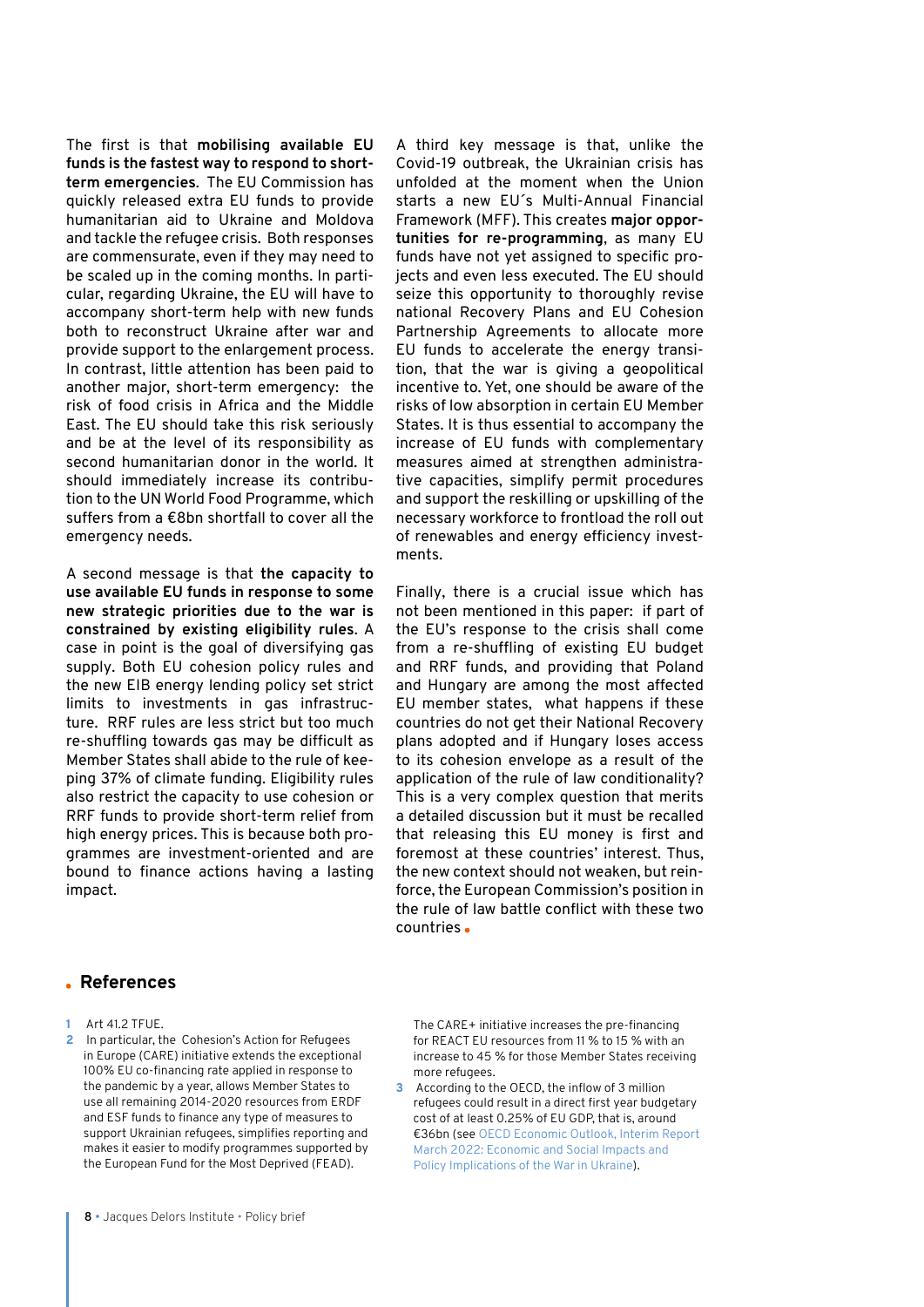The first is that **mobilising available EU funds is the fastest way to respond to shortterm emergencies**. The EU Commission has quickly released extra EU funds to provide humanitarian aid to Ukraine and Moldova and tackle the refugee crisis. Both responses are commensurate, even if they may need to be scaled up in the coming months. In particular, regarding Ukraine, the EU will have to accompany short-term help with new funds both to reconstruct Ukraine after war and provide support to the enlargement process. In contrast, little attention has been paid to another major, short-term emergency: the risk of food crisis in Africa and the Middle East. The EU should take this risk seriously and be at the level of its responsibility as second humanitarian donor in the world. It should immediately increase its contribution to the UN World Food Programme, which suffers from a €8bn shortfall to cover all the emergency needs.

A second message is that **the capacity to use available EU funds in response to some new strategic priorities due to the war is constrained by existing eligibility rules**. A case in point is the goal of diversifying gas supply. Both EU cohesion policy rules and the new EIB energy lending policy set strict limits to investments in gas infrastructure. RRF rules are less strict but too much re-shuffling towards gas may be difficult as Member States shall abide to the rule of keeping 37% of climate funding. Eligibility rules also restrict the capacity to use cohesion or RRF funds to provide short-term relief from high energy prices. This is because both programmes are investment-oriented and are bound to finance actions having a lasting impact.

A third key message is that, unlike the Covid-19 outbreak, the Ukrainian crisis has unfolded at the moment when the Union starts a new EU´s Multi-Annual Financial Framework (MFF). This creates **major opportunities for re-programming**, as many EU funds have not yet assigned to specific projects and even less executed. The EU should seize this opportunity to thoroughly revise national Recovery Plans and EU Cohesion Partnership Agreements to allocate more EU funds to accelerate the energy transition, that the war is giving a geopolitical incentive to. Yet, one should be aware of the risks of low absorption in certain EU Member States. It is thus essential to accompany the increase of EU funds with complementary measures aimed at strengthen administrative capacities, simplify permit procedures and support the reskilling or upskilling of the necessary workforce to frontload the roll out of renewables and energy efficiency investments.

Finally, there is a crucial issue which has not been mentioned in this paper: if part of the EU's response to the crisis shall come from a re-shuffling of existing EU budget and RRF funds, and providing that Poland and Hungary are among the most affected EU member states, what happens if these countries do not get their National Recovery plans adopted and if Hungary loses access to its cohesion envelope as a result of the application of the rule of law conditionality? This is a very complex question that merits a detailed discussion but it must be recalled that releasing this EU money is first and foremost at these countries' interest. Thus, the new context should not weaken, but reinforce, the European Commission's position in the rule of law battle conflict with these two countries

# **References**

- **1** Art 41.2 TFUE.
- **2** In particular, the Cohesion's Action for Refugees in Europe (CARE) initiative extends the exceptional 100% EU co-financing rate applied in response to the pandemic by a year, allows Member States to use all remaining 2014-2020 resources from ERDF and ESF funds to finance any type of measures to support Ukrainian refugees, simplifies reporting and makes it easier to modify programmes supported by the European Fund for the Most Deprived (FEAD).

The CARE+ initiative increases the pre-financing for REACT EU resources from 11 % to 15 % with an increase to 45 % for those Member States receiving more refugees.

**3** According to the OECD, the inflow of 3 million refugees could result in a direct first year budgetary cost of at least 0.25% of EU GDP, that is, around €36bn (see [OECD Economic Outlook, Interim Report](https://www.oecd-ilibrary.org/sites/4181d61b-en/index.html?itemId=/content/publication/4181d61b-en)  [March 2022: Economic and Social Impacts and](https://www.oecd-ilibrary.org/sites/4181d61b-en/index.html?itemId=/content/publication/4181d61b-en)  [Policy Implications of the War in Ukraine\)](https://www.oecd-ilibrary.org/sites/4181d61b-en/index.html?itemId=/content/publication/4181d61b-en).